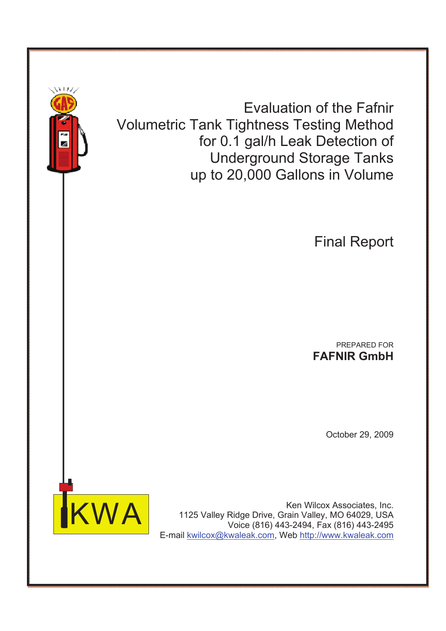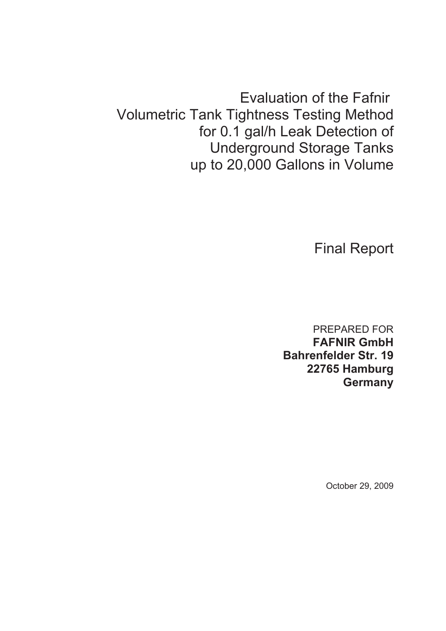Evaluation of the Fafnir Volumetric Tank Tightness Testing Method for 0.1 gal/h Leak Detection of Underground Storage Tanks up to 20,000 Gallons in Volume

Final Report

PREPARED FOR **FAFNIR GmbH Bahrenfelder Str. 19 22765 Hamburg Germany**

October 29, 2009